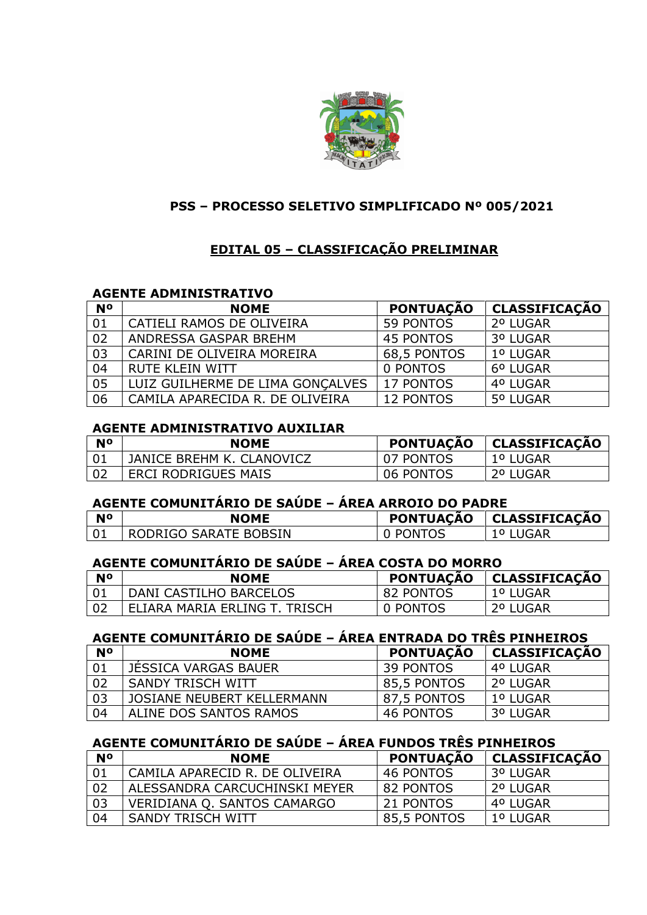

### **PSS – PROCESSO SELETIVO SIMPLIFICADO Nº 005/2021**

# **EDITAL 05 – CLASSIFICAÇÃO PRELIMINAR**

#### **AGENTE ADMINISTRATIVO**

| <b>N°</b> | <b>NOME</b>                      | <b>PONTUAÇÃO</b> | <b>CLASSIFICAÇÃO</b> |
|-----------|----------------------------------|------------------|----------------------|
| 01        | CATIELI RAMOS DE OLIVEIRA        | 59 PONTOS        | 2º LUGAR             |
| 02        | ANDRESSA GASPAR BREHM            | 45 PONTOS        | 3º LUGAR             |
| 03        | CARINI DE OLIVEIRA MOREIRA       | 68,5 PONTOS      | 1º LUGAR             |
| 04        | <b>RUTE KLEIN WITT</b>           | 0 PONTOS         | 6º LUGAR             |
| 05        | LUIZ GUILHERME DE LIMA GONÇALVES | 17 PONTOS        | 4º LUGAR             |
| 06        | CAMILA APARECIDA R. DE OLIVEIRA  | <b>12 PONTOS</b> | 5º LUGAR             |

#### **AGENTE ADMINISTRATIVO AUXILIAR**

| N <sub>0</sub> | <b>NOME</b>                | <b>PONTUAÇÃO</b> | CLASSIFICAÇÃO |
|----------------|----------------------------|------------------|---------------|
|                | JANICE BREHM K. CLANOVICZ  | 07 PONTOS        | 1º LUGAR      |
| -02            | <b>ERCI RODRIGUES MAIS</b> | 06 PONTOS        | 2º LUGAR      |

## **AGENTE COMUNITÁRIO DE SAÚDE – ÁREA ARROIO DO PADRE**

| N <sup>o</sup> | <b>NOME</b>           | <b>PONTUACÃO</b> | CLASSIFICAÇÃO |
|----------------|-----------------------|------------------|---------------|
|                | RODRIGO SARATE BOBSIN | PONTOS           | JGAR          |

# **AGENTE COMUNITÁRIO DE SAÚDE – ÁREA COSTA DO MORRO**

| N <sub>0</sub> | <b>NOME</b>                   | <b>PONTUAÇÃO</b> | CLASSIFICAÇÃO |
|----------------|-------------------------------|------------------|---------------|
|                | DANI CASTILHO BARCELOS        | 82 PONTOS        | 1º LUGAR      |
| - 02           | ELIARA MARIA ERLING T. TRISCH | 0 PONTOS         | 2º LUGAR      |

## **AGENTE COMUNITÁRIO DE SAÚDE – ÁREA ENTRADA DO TRÊS PINHEIROS**

| <b>N°</b> | <b>NOME</b>                 | <b>PONTUAÇÃO</b> | CLASSIFICAÇÃO |
|-----------|-----------------------------|------------------|---------------|
| 01        | <b>JESSICA VARGAS BAUER</b> | 39 PONTOS        | 4º LUGAR      |
| 02        | SANDY TRISCH WITT           | 85,5 PONTOS      | l 2º LUGAR    |
| 03        | JOSIANE NEUBERT KELLERMANN  | 87,5 PONTOS      | 1º LUGAR      |
| 04        | ALINE DOS SANTOS RAMOS      | 46 PONTOS        | 3º LUGAR      |

# **AGENTE COMUNITÁRIO DE SAÚDE – ÁREA FUNDOS TRÊS PINHEIROS**

| <b>N°</b> | <b>NOME</b>                    | <b>PONTUAÇÃO</b> | <b>CLASSIFICAÇÃO</b> |
|-----------|--------------------------------|------------------|----------------------|
| 01        | CAMILA APARECID R. DE OLIVEIRA | 46 PONTOS        | 3º LUGAR             |
| 02        | ALESSANDRA CARCUCHINSKI MEYER  | l 82 PONTOS      | 2º LUGAR             |
| 03        | VERIDIANA Q. SANTOS CAMARGO    | 21 PONTOS        | 4º LUGAR             |
| 04        | SANDY TRISCH WITT              | 85,5 PONTOS      | 1º LUGAR             |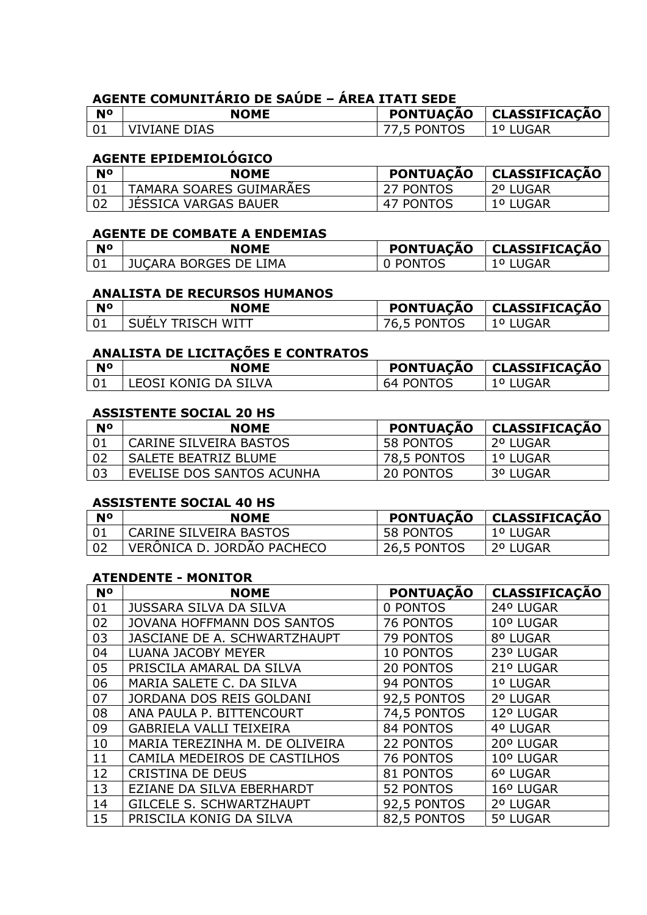# **AGENTE COMUNITÁRIO DE SAÚDE – ÁREA ITATI SEDE**

| <b>N°</b> | <b>NOME</b>         | <b>PONTUACÃO</b> | CLASSIFICAÇÃO  |
|-----------|---------------------|------------------|----------------|
|           | <b>VIVIANE DIAS</b> | 77.5 PONTOS      | JGAR<br>10 I I |

## **AGENTE EPIDEMIOLÓGICO**

| N <sup>o</sup> | <b>NOME</b>                    | <b>PONTUACAO</b> | CLASSIFICACAO |
|----------------|--------------------------------|------------------|---------------|
|                | <b>TAMARA SOARES GUIMARAES</b> | 27 PONTOS        | 2º LUGAR      |
|                | <b>JESSICA VARGAS BAUER</b>    | 47 PONTOS        | 1º LUGAR      |

### **AGENTE DE COMBATE A ENDEMIAS**

| <b>N°</b> | <b>NOME</b>                  |        | PONTUAÇÃO   CLASSIFICAÇÃO |
|-----------|------------------------------|--------|---------------------------|
| 01        | <b>JUCARA BORGES DE LIMA</b> | PONTOS |                           |

#### **ANALISTA DE RECURSOS HUMANOS**

| N <sup>o</sup> | <b>NOME</b>              | <b>PONTUACÃO</b>      | CLASSIFICACÃO |
|----------------|--------------------------|-----------------------|---------------|
| 01             | TRISCH WITT<br>SUEL<br>v | <b>PONTOS</b><br>- 50 | ັບ            |

## **ANALISTA DE LICITAÇÕES E CONTRATOS**

| <b>N°</b> | <b>NOME</b>            | <b>PONTUAÇÃO</b>    | <b>CLASSIFICAÇÃO</b> |
|-----------|------------------------|---------------------|----------------------|
|           | ' LEOSI KONIG DA SILVA | <b>PONTOS</b><br>64 | GAR                  |

#### **ASSISTENTE SOCIAL 20 HS**

| <b>N°</b> | <b>NOME</b>                   | <b>PONTUAÇÃO</b> | CLASSIFICAÇÃO |
|-----------|-------------------------------|------------------|---------------|
|           | <b>CARINE SILVEIRA BASTOS</b> | 58 PONTOS        | 2º LUGAR      |
| -02       | SALETE BEATRIZ BLUME          | 78,5 PONTOS      | 1º LUGAR      |
| ึกว       | EVELISE DOS SANTOS ACUNHA     | 20 PONTOS        | 3º LUGAR      |

#### **ASSISTENTE SOCIAL 40 HS**

| <b>No</b> | <b>NOME</b>                | <b>PONTUAÇÃO</b> | CLASSIFICAÇÃO |
|-----------|----------------------------|------------------|---------------|
|           | CARINE SILVEIRA BASTOS     | 58 PONTOS        | 1º LUGAR      |
|           | VERONICA D. JORDAO PACHECO | 26.5 PONTOS      | 2º LUGAR      |

### **ATENDENTE - MONITOR**

| N <sup>o</sup> | <b>NOME</b>                       | <b>PONTUAÇÃO</b> | <b>CLASSIFICAÇÃO</b> |
|----------------|-----------------------------------|------------------|----------------------|
| 01             | <b>JUSSARA SILVA DA SILVA</b>     | 0 PONTOS         | 24º LUGAR            |
| 02             | <b>JOVANA HOFFMANN DOS SANTOS</b> | 76 PONTOS        | 10° LUGAR            |
| 03             | JASCIANE DE A. SCHWARTZHAUPT      | 79 PONTOS        | 8º LUGAR             |
| 04             | <b>LUANA JACOBY MEYER</b>         | 10 PONTOS        | 23º LUGAR            |
| 05             | PRISCILA AMARAL DA SILVA          | 20 PONTOS        | 21º LUGAR            |
| 06             | MARIA SALETE C. DA SILVA          | 94 PONTOS        | 1º LUGAR             |
| 07             | JORDANA DOS REIS GOLDANI          | 92,5 PONTOS      | 2º LUGAR             |
| 08             | ANA PAULA P. BITTENCOURT          | 74,5 PONTOS      | 12º LUGAR            |
| 09             | <b>GABRIELA VALLI TEIXEIRA</b>    | 84 PONTOS        | 4º LUGAR             |
| 10             | MARIA TEREZINHA M. DE OLIVEIRA    | 22 PONTOS        | 20° LUGAR            |
| 11             | CAMILA MEDEIROS DE CASTILHOS      | 76 PONTOS        | 10° LUGAR            |
| 12             | <b>CRISTINA DE DEUS</b>           | 81 PONTOS        | 6º LUGAR             |
| 13             | EZIANE DA SILVA EBERHARDT         | 52 PONTOS        | 16º LUGAR            |
| 14             | GILCELE S. SCHWARTZHAUPT          | 92,5 PONTOS      | 2º LUGAR             |
| 15             | PRISCILA KONIG DA SILVA           | 82,5 PONTOS      | 5º LUGAR             |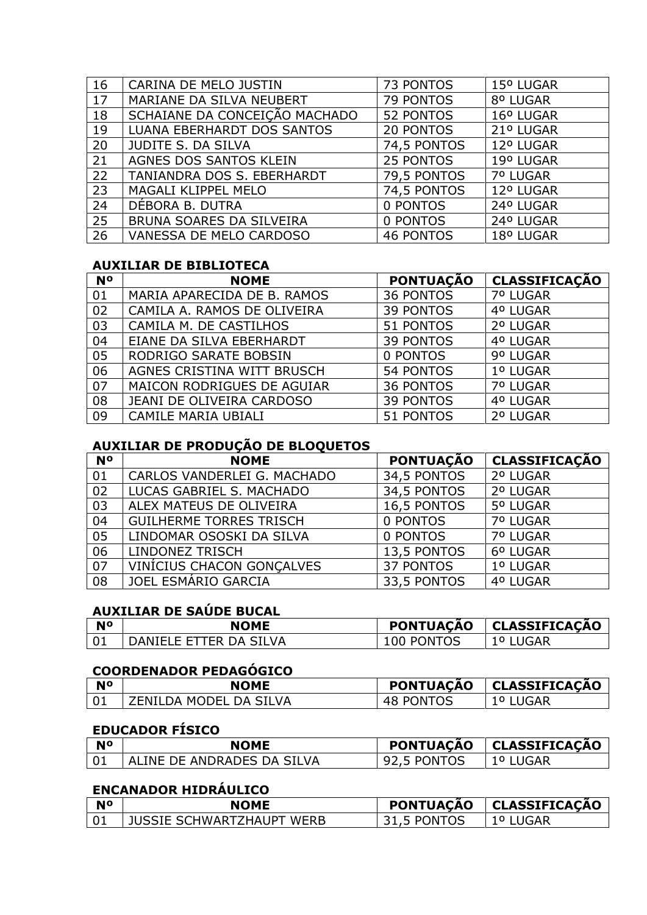| 16 | CARINA DE MELO JUSTIN         | 73 PONTOS        | 15º LUGAR |
|----|-------------------------------|------------------|-----------|
| 17 | MARIANE DA SILVA NEUBERT      | 79 PONTOS        | 8º LUGAR  |
| 18 | SCHAIANE DA CONCEIÇÃO MACHADO | 52 PONTOS        | 16º LUGAR |
| 19 | LUANA EBERHARDT DOS SANTOS    | 20 PONTOS        | 21º LUGAR |
| 20 | <b>JUDITE S. DA SILVA</b>     | 74,5 PONTOS      | 12º LUGAR |
| 21 | AGNES DOS SANTOS KLEIN        | 25 PONTOS        | 19º LUGAR |
| 22 | TANIANDRA DOS S. EBERHARDT    | 79,5 PONTOS      | 7º LUGAR  |
| 23 | MAGALI KLIPPEL MELO           | 74,5 PONTOS      | 12º LUGAR |
| 24 | DÉBORA B. DUTRA               | 0 PONTOS         | 24º LUGAR |
| 25 | BRUNA SOARES DA SILVEIRA      | 0 PONTOS         | 24º LUGAR |
| 26 | VANESSA DE MELO CARDOSO       | <b>46 PONTOS</b> | 18º LUGAR |

## **AUXILIAR DE BIBLIOTECA**

| <b>N°</b> | <b>NOME</b>                 | <b>PONTUAÇÃO</b> | <b>CLASSIFICAÇÃO</b> |
|-----------|-----------------------------|------------------|----------------------|
| 01        | MARIA APARECIDA DE B. RAMOS | <b>36 PONTOS</b> | 7º LUGAR             |
| 02        | CAMILA A. RAMOS DE OLIVEIRA | <b>39 PONTOS</b> | 4º LUGAR             |
| 03        | CAMILA M. DE CASTILHOS      | 51 PONTOS        | 2º LUGAR             |
| 04        | EIANE DA SILVA EBERHARDT    | <b>39 PONTOS</b> | 4º LUGAR             |
| 05        | RODRIGO SARATE BOBSIN       | 0 PONTOS         | 9º LUGAR             |
| 06        | AGNES CRISTINA WITT BRUSCH  | 54 PONTOS        | 1º LUGAR             |
| 07        | MAICON RODRIGUES DE AGUIAR  | <b>36 PONTOS</b> | 7º LUGAR             |
| 08        | JEANI DE OLIVEIRA CARDOSO   | <b>39 PONTOS</b> | 4º LUGAR             |
| 09        | <b>CAMILE MARIA UBIALI</b>  | 51 PONTOS        | 2º LUGAR             |

# **AUXILIAR DE PRODUÇÃO DE BLOQUETOS**

| <b>N°</b> | <b>NOME</b>                    | <b>PONTUAÇÃO</b> | <b>CLASSIFICAÇÃO</b> |
|-----------|--------------------------------|------------------|----------------------|
| 01        | CARLOS VANDERLEI G. MACHADO    | 34,5 PONTOS      | 2º LUGAR             |
| 02        | LUCAS GABRIEL S. MACHADO       | 34,5 PONTOS      | 2º LUGAR             |
| 03        | ALEX MATEUS DE OLIVEIRA        | 16,5 PONTOS      | 5º LUGAR             |
| 04        | <b>GUILHERME TORRES TRISCH</b> | 0 PONTOS         | 7º LUGAR             |
| 05        | LINDOMAR OSOSKI DA SILVA       | 0 PONTOS         | 7º LUGAR             |
| 06        | <b>LINDONEZ TRISCH</b>         | 13,5 PONTOS      | 6º LUGAR             |
| 07        | VINÍCIUS CHACON GONÇALVES      | 37 PONTOS        | 1º LUGAR             |
| 08        | JOEL ESMÁRIO GARCIA            | 33,5 PONTOS      | 4º LUGAR             |

# **AUXILIAR DE SAÚDE BUCAL**

| <b>N°</b> | <b>NOME</b>            | <b>PONTUAÇÃO</b> | CLASSIFICACÃO    |
|-----------|------------------------|------------------|------------------|
|           | DANIELE ETTER DA SILVA | 100 PONTOS       | UGAR<br><b>U</b> |

## **COORDENADOR PEDAGÓGICO**

| N <sup>o</sup> | <b>NOME</b>            | <b>PONTUACAO</b> | <b>CLASSIFICAÇÃO</b> |
|----------------|------------------------|------------------|----------------------|
|                | ZENILDA MODEL DA SILVA | 48 PONTOS        | 1º LUGAR             |

# **EDUCADOR FÍSICO**

| N <sup>o</sup> | NOME                         | <b>PONTUACÃO</b> | CLASSIFICAÇÃO |
|----------------|------------------------------|------------------|---------------|
|                | ' ALINE DE ANDRADES DA SILVA | 92,5 PONTOS      | 1º LUGAR      |

### **ENCANADOR HIDRÁULICO**

| <b>N°</b> | <b>NOME</b>               | <b>PONTUACAO</b> | CLASSIFICACAO |
|-----------|---------------------------|------------------|---------------|
|           | JUSSIE SCHWARTZHAUPT WERB | .5 PONTOS        | JGAR<br>1 O I |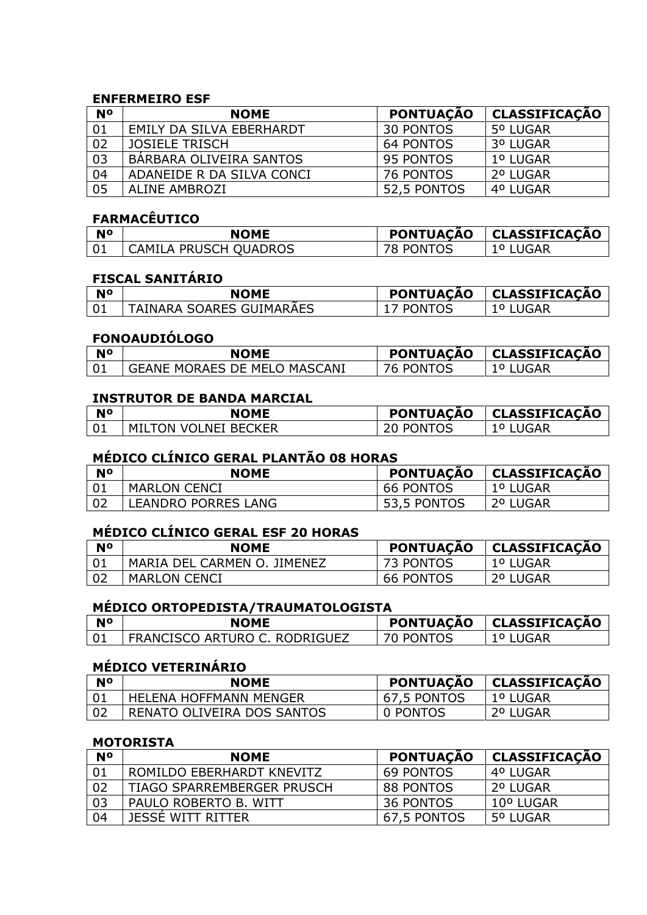#### **ENFERMEIRO ESF**

| N <sup>o</sup> | <b>NOME</b>               | <b>PONTUAÇÃO</b> | <b>CLASSIFICAÇÃO</b> |
|----------------|---------------------------|------------------|----------------------|
| 01             | EMILY DA SILVA EBERHARDT  | 30 PONTOS        | 5º LUGAR             |
| 02             | JOSIELE TRISCH            | 64 PONTOS        | 3º LUGAR             |
| 03             | BARBARA OLIVEIRA SANTOS   | 95 PONTOS        | 1º LUGAR             |
| 04             | ADANEIDE R DA SILVA CONCI | 76 PONTOS        | 2º LUGAR             |
| 05             | <b>ALINE AMBROZI</b>      | 52,5 PONTOS      | 4º LUGAR             |

#### **FARMACÊUTICO**

| <b>N°</b> | NOME                  | <b>PONTUACÃO</b> | CLASSIFICAÇÃO |
|-----------|-----------------------|------------------|---------------|
| l 01      | CAMILA PRUSCH OUADROS | 78 PONTOS        | $\cup$        |

# **FISCAL SANITÁRIO**

| <b>No</b> | <b>NOME</b>              | <b>PONTUACÃO</b> | <b>CLASSIFICACÃO</b> |
|-----------|--------------------------|------------------|----------------------|
|           | TAINARA SOARES GUIMARAES | <b>PONTOS</b>    | JGAR                 |

#### **FONOAUDIÓLOGO**

| No | <b>NOME</b>                         | <b>PONTUACAO</b>      | <b>CLASSIFICACÃO</b> |
|----|-------------------------------------|-----------------------|----------------------|
|    | <b>GEANE MORAES DE MELO MASCANI</b> | <b>PONTOS</b><br>้ััก | U                    |

#### **INSTRUTOR DE BANDA MARCIAL**

| <b>N°</b> | <b>NOME</b>                 | <b>PONTUACÃO</b> | CLASSIFICAÇÃO |
|-----------|-----------------------------|------------------|---------------|
| 01        | <b>MILTON VOLNEI BECKER</b> | PONTOS י         | 1º LUGAR      |

# **MÉDICO CLÍNICO GERAL PLANTÃO 08 HORAS**

| <b>No</b> | <b>NOME</b>         | <b>PONTUAÇÃO</b> | CLASSIFICAÇÃO   |
|-----------|---------------------|------------------|-----------------|
|           | MARLON CENCI        | <b>66 PONTOS</b> | <b>1º LUGAR</b> |
|           | LEANDRO PORRES LANG | 53,5 PONTOS      | 2º LUGAR        |

# **MÉDICO CLÍNICO GERAL ESF 20 HORAS**

| N٥ | <b>NOME</b>                 | <b>PONTUAÇÃO</b> | CLASSIFICAÇÃO |
|----|-----------------------------|------------------|---------------|
|    | MARIA DEL CARMEN O. JIMENEZ | 73 PONTOS        | 1º LUGAR      |
|    | <b>MARLON CENCI</b>         | 66 PONTOS        | 2º LUGAR      |

## **MÉDICO ORTOPEDISTA/TRAUMATOLOGISTA**

| <b>N°</b> | <b>NOME</b>                   | <b>PONTUACÃO</b> | <b>CLASSIFICACÃO</b> |
|-----------|-------------------------------|------------------|----------------------|
|           | FRANCISCO ARTURO C. RODRIGUEZ | <b>70 PONTOS</b> | 1º LUGAR             |

## **MÉDICO VETERINÁRIO**

| <b>N<sup>o</sup></b> | NOME                       | <b>PONTUAÇÃO</b> | CLASSIFICAÇÃO |
|----------------------|----------------------------|------------------|---------------|
|                      | HELENA HOFFMANN MENGER     | 67,5 PONTOS      | ∣ 1º LUGAR    |
|                      | RENATO OLIVEIRA DOS SANTOS | ን PONTOS         | 20 HUGAR      |

#### **MOTORISTA**

| <b>N°</b> | <b>NOME</b>                       | <b>PONTUAÇÃO</b> | <b>CLASSIFICAÇÃO</b> |
|-----------|-----------------------------------|------------------|----------------------|
|           | ROMILDO EBERHARDT KNEVITZ         | 69 PONTOS        | 4º LUGAR             |
| 02        | <b>TIAGO SPARREMBERGER PRUSCH</b> | 88 PONTOS        | 2º LUGAR             |
| 03        | PAULO ROBERTO B. WITT             | 36 PONTOS        | 10º LUGAR            |
| 04        | JESSE WITT RITTER                 | 67,5 PONTOS      | 5º LUGAR             |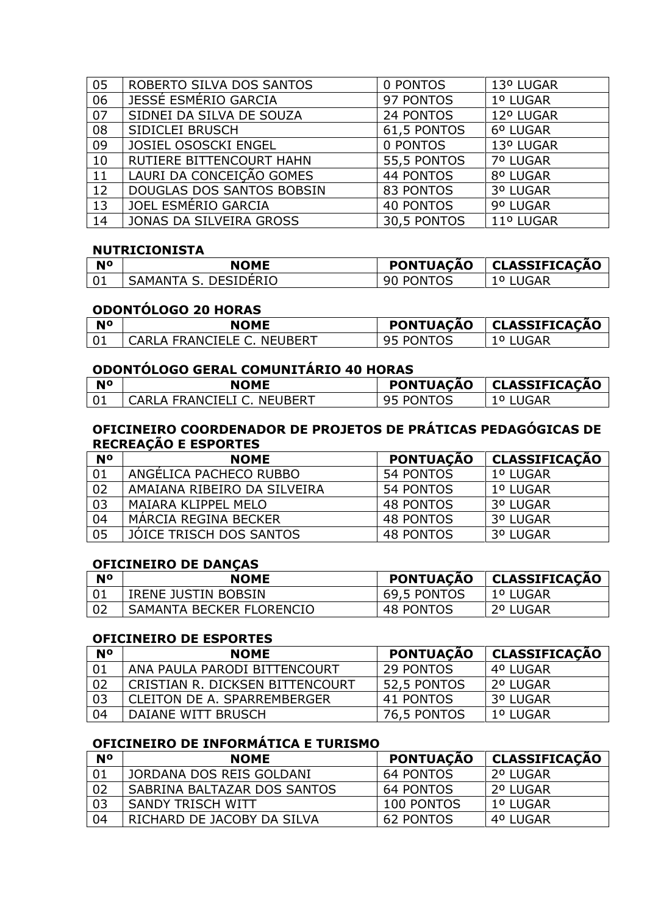| 05 | ROBERTO SILVA DOS SANTOS    | 0 PONTOS         | 13º LUGAR |
|----|-----------------------------|------------------|-----------|
| 06 | JESSÉ ESMÉRIO GARCIA        | 97 PONTOS        | 1º LUGAR  |
| 07 | SIDNEI DA SILVA DE SOUZA    | 24 PONTOS        | 12º LUGAR |
| 08 | SIDICLEI BRUSCH             | 61,5 PONTOS      | 6º LUGAR  |
| 09 | <b>JOSIEL OSOSCKI ENGEL</b> | 0 PONTOS         | 13º LUGAR |
| 10 | RUTIERE BITTENCOURT HAHN    | 55,5 PONTOS      | 7º LUGAR  |
| 11 | LAURI DA CONCEIÇÃO GOMES    | 44 PONTOS        | 8º LUGAR  |
| 12 | DOUGLAS DOS SANTOS BOBSIN   | 83 PONTOS        | 3º LUGAR  |
| 13 | JOEL ESMÉRIO GARCIA         | <b>40 PONTOS</b> | 9º LUGAR  |
| 14 | JONAS DA SILVEIRA GROSS     | 30,5 PONTOS      | 11º LUGAR |

#### **NUTRICIONISTA**

| <b>N°</b> | <b>NOME</b>          | <b>PONTUAÇÃO</b>     | <b>CLASSIFICACÃO</b> |
|-----------|----------------------|----------------------|----------------------|
|           | SAMANTA S. DESIDERIO | <b>PONTOS</b><br>-90 | JGAR<br>O            |

### **ODONTÓLOGO 20 HORAS**

| N <sub>o</sub> | <b>NOME</b>                | <b>PONTUAÇÃO</b>                | <b>CLASSIFICACAO</b> |
|----------------|----------------------------|---------------------------------|----------------------|
|                | CARLA FRANCIELE C. NEUBERT | <b>PONTOS</b><br>Q <sub>5</sub> | .UGAR                |

## **ODONTÓLOGO GERAL COMUNITÁRIO 40 HORAS**

| <b>N°</b> | NOME                       |           | <b>PONTUAÇÃO   CLASSIFICAÇÃO</b> |
|-----------|----------------------------|-----------|----------------------------------|
|           | CARLA FRANCIELI C. NEUBERT | 95 PONTOS | JGAR                             |

#### **OFICINEIRO COORDENADOR DE PROJETOS DE PRÁTICAS PEDAGÓGICAS DE RECREAÇÃO E ESPORTES**

| <b>N°</b> | <b>NOME</b>                 | <b>PONTUAÇÃO</b> | <b>CLASSIFICAÇÃO</b> |
|-----------|-----------------------------|------------------|----------------------|
| 01        | ANGELICA PACHECO RUBBO      | 54 PONTOS        | 1º LUGAR             |
| 02        | AMAIANA RIBEIRO DA SILVEIRA | 54 PONTOS        | 1º LUGAR             |
| 03        | MAIARA KLIPPEL MELO         | 48 PONTOS        | 3º LUGAR             |
| 04        | MARCIA REGINA BECKER        | 48 PONTOS        | 3º LUGAR             |
| 05        | JOICE TRISCH DOS SANTOS     | 48 PONTOS        | 3º LUGAR             |

#### **OFICINEIRO DE DANÇAS**

| <b>NO</b> | <b>NOME</b>                | <b>PONTUAÇÃO</b> | CLASSIFICAÇÃO |
|-----------|----------------------------|------------------|---------------|
|           | <b>IRENE JUSTIN BOBSIN</b> | 69,5 PONTOS      | 1º LUGAR      |
|           | SAMANTA BECKER FLORENCIO   | 48 PONTOS        | 2º LUGAR      |

#### **OFICINEIRO DE ESPORTES**

| <b>N°</b> | <b>NOME</b>                     | <b>PONTUAÇÃO</b> | <b>CLASSIFICAÇÃO</b> |
|-----------|---------------------------------|------------------|----------------------|
| -01       | ANA PAULA PARODI BITTENCOURT    | 29 PONTOS        | 4º LUGAR             |
| 02        | CRISTIAN R. DICKSEN BITTENCOURT | 52,5 PONTOS      | ∣ 2º LUGAR           |
| 03        | CLEITON DE A. SPARREMBERGER     | 41 PONTOS        | 3º LUGAR             |
| 04        | DAIANE WITT BRUSCH              | 76,5 PONTOS      | 1º LUGAR             |

### **OFICINEIRO DE INFORMÁTICA E TURISMO**

| <b>N°</b> | <b>NOME</b>                 | PONTUAÇÃO  | CLASSIFICAÇAO |
|-----------|-----------------------------|------------|---------------|
| 01        | JORDANA DOS REIS GOLDANI    | 64 PONTOS  | 2º LUGAR      |
| 02        | SABRINA BALTAZAR DOS SANTOS | 64 PONTOS  | 2º LUGAR      |
| 03        | SANDY TRISCH WITT           | 100 PONTOS | ∣ 1º LUGAR    |
| 04        | RICHARD DE JACOBY DA SILVA  | 62 PONTOS  | 4º LUGAR      |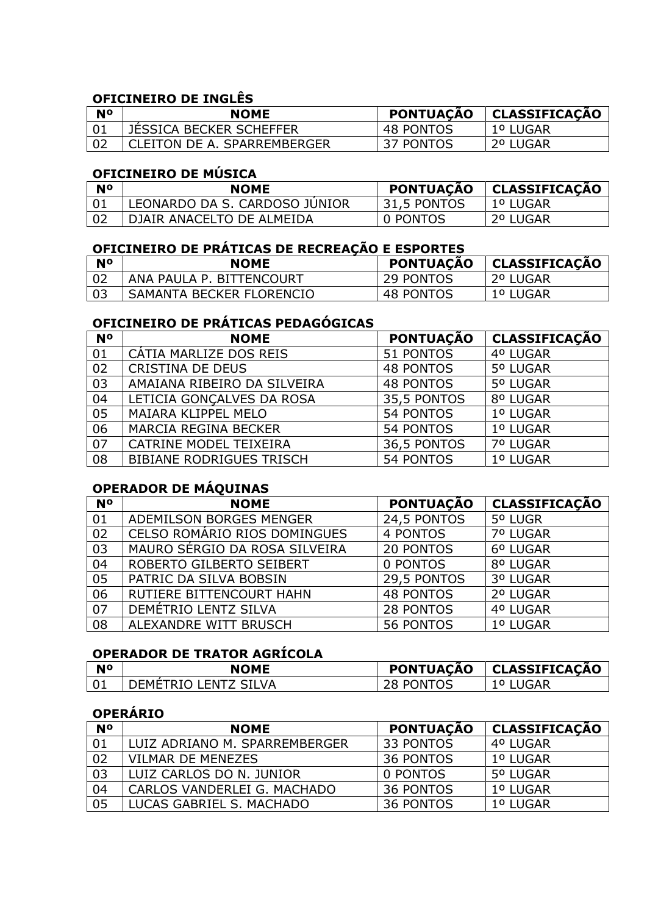# **OFICINEIRO DE INGLÊS**

| N <sub>0</sub> | <b>NOME</b>                    | <b>PONTUACAO</b> | CLASSIFICAÇÃO |
|----------------|--------------------------------|------------------|---------------|
|                | <b>JESSICA BECKER SCHEFFER</b> | 48 PONTOS        | 1º LUGAR      |
|                | CLEITON DE A. SPARREMBERGER    | 37 PONTOS        | 2º LUGAR      |

## **OFICINEIRO DE MÚSICA**

| <b>No</b> | <b>NOME</b>                   | <b>PONTUAÇÃO</b> | CLASSIFICAÇÃO |
|-----------|-------------------------------|------------------|---------------|
|           | LEONARDO DA S. CARDOSO JUNIOR | 31,5 PONTOS      | 1º LUGAR      |
|           | DIAIR ANACELTO DE ALMEIDA     | 0 PONTOS         | 2º LUGAR      |

# **OFICINEIRO DE PRÁTICAS DE RECREAÇÃO E ESPORTES**

| <b>No</b> | <b>NOME</b>              | <b>PONTUACÃO</b> | CLASSIFICAÇÃO |
|-----------|--------------------------|------------------|---------------|
| l 02      | ANA PAULA P. BITTENCOURT | 29 PONTOS        | 2º LUGAR      |
| ר ו       | SAMANTA BECKER FLORENCIO | 48 PONTOS        | 1º LUGAR      |

## **OFICINEIRO DE PRÁTICAS PEDAGÓGICAS**

| <b>N<sup>o</sup></b> | <b>NOME</b>                     | <b>PONTUAÇÃO</b> | <b>CLASSIFICAÇÃO</b> |
|----------------------|---------------------------------|------------------|----------------------|
| 01                   | CÁTIA MARLIZE DOS REIS          | 51 PONTOS        | 4º LUGAR             |
| 02                   | <b>CRISTINA DE DEUS</b>         | 48 PONTOS        | 5º LUGAR             |
| 03                   | AMAIANA RIBEIRO DA SILVEIRA     | <b>48 PONTOS</b> | 5º LUGAR             |
| 04                   | LETICIA GONÇALVES DA ROSA       | 35,5 PONTOS      | 8º LUGAR             |
| 05                   | <b>MAIARA KLIPPEL MELO</b>      | 54 PONTOS        | 1º LUGAR             |
| 06                   | <b>MARCIA REGINA BECKER</b>     | 54 PONTOS        | 1º LUGAR             |
| 07                   | CATRINE MODEL TEIXEIRA          | 36,5 PONTOS      | 7º LUGAR             |
| 08                   | <b>BIBIANE RODRIGUES TRISCH</b> | 54 PONTOS        | 1º LUGAR             |

# **OPERADOR DE MÁQUINAS**

| <b>N°</b> | <b>NOME</b>                   | <b>PONTUAÇÃO</b> | <b>CLASSIFICAÇÃO</b> |
|-----------|-------------------------------|------------------|----------------------|
| 01        | ADEMILSON BORGES MENGER       | 24,5 PONTOS      | 5º LUGR              |
| 02        | CELSO ROMÁRIO RIOS DOMINGUES  | 4 PONTOS         | 7º LUGAR             |
| 03        | MAURO SÉRGIO DA ROSA SILVEIRA | <b>20 PONTOS</b> | 6º LUGAR             |
| 04        | ROBERTO GILBERTO SEIBERT      | 0 PONTOS         | 8º LUGAR             |
| 05        | PATRIC DA SILVA BOBSIN        | 29,5 PONTOS      | 3º LUGAR             |
| 06        | RUTIERE BITTENCOURT HAHN      | <b>48 PONTOS</b> | 2º LUGAR             |
| 07        | DEMÉTRIO LENTZ SILVA          | 28 PONTOS        | 4º LUGAR             |
| 08        | ALEXANDRE WITT BRUSCH         | 56 PONTOS        | 1º LUGAR             |

# **OPERADOR DE TRATOR AGRÍCOLA**

| N <sup>o</sup> | <b>NOME</b>                 | <b>PONTUACAO</b>    | <b>CLASSIFICAÇÃO</b> |
|----------------|-----------------------------|---------------------|----------------------|
|                | TRIO I FNTZ SII VA<br>DEME' | <b>DNTOS</b><br>ו ש | ັບ                   |

## **OPERÁRIO**

| <b>N°</b> | <b>NOME</b>                   | <b>PONTUAÇÃO</b> | <b>CLASSIFICAÇÃO</b> |
|-----------|-------------------------------|------------------|----------------------|
| 01        | LUIZ ADRIANO M. SPARREMBERGER | 33 PONTOS        | 4º LUGAR             |
| 02        | VILMAR DE MENEZES             | 36 PONTOS        | 1º LUGAR             |
| 03        | LUIZ CARLOS DO N. JUNIOR      | 0 PONTOS         | 5º LUGAR             |
| 04        | CARLOS VANDERLEI G. MACHADO   | 36 PONTOS        | 1º LUGAR             |
| 05        | LUCAS GABRIEL S. MACHADO      | 36 PONTOS        | 1º LUGAR             |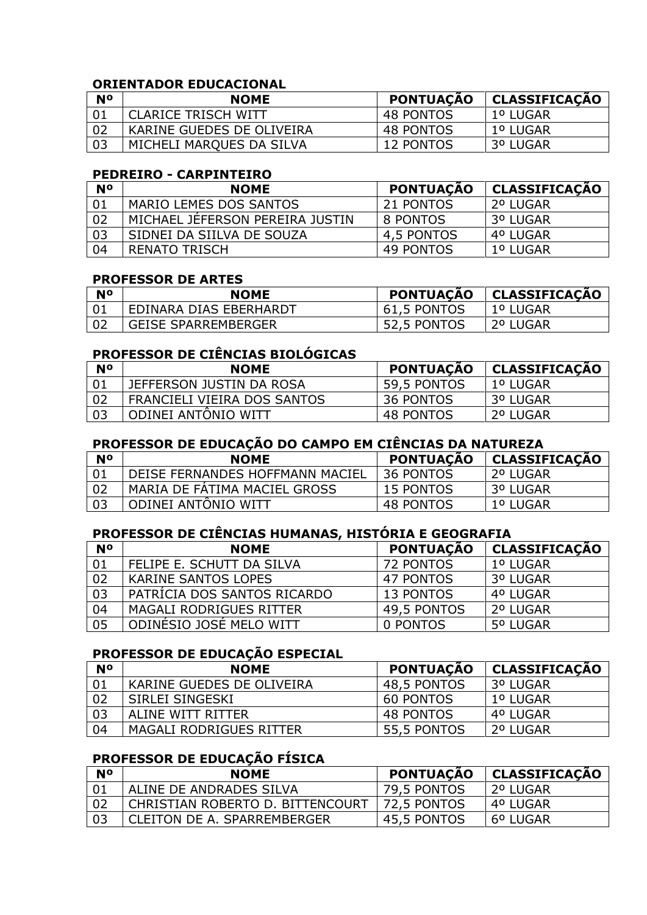#### **ORIENTADOR EDUCACIONAL**

| <b>No</b> | <b>NOME</b>                | <b>PONTUAÇÃO</b> | CLASSIFICAÇÃO   |
|-----------|----------------------------|------------------|-----------------|
|           | <b>CLARICE TRISCH WITT</b> | 48 PONTOS        | 1º LUGAR        |
|           | KARINE GUEDES DE OLIVEIRA  | 48 PONTOS        | <b>1º LUGAR</b> |
| 03        | MICHELI MARQUES DA SILVA   | 12 PONTOS        | 3º LUGAR        |

#### **PEDREIRO - CARPINTEIRO**

| <b>No</b>       | <b>NOME</b>                     | <b>PONTUAÇÃO</b> | <b>CLASSIFICAÇÃO</b> |
|-----------------|---------------------------------|------------------|----------------------|
| $\overline{01}$ | MARIO LEMES DOS SANTOS          | 21 PONTOS        | 2º LUGAR             |
| 02              | MICHAEL JEFERSON PEREIRA JUSTIN | 8 PONTOS         | 3º LUGAR             |
| 03              | SIDNEI DA SIILVA DE SOUZA       | 4,5 PONTOS       | 4º LUGAR             |
| 04              | RENATO TRISCH                   | 49 PONTOS        | 1º LUGAR             |

#### **PROFESSOR DE ARTES**

| <b>No</b> | <b>NOME</b>                | <b>PONTUAÇÃO</b> | CLASSIFICAÇÃO |
|-----------|----------------------------|------------------|---------------|
|           | EDINARA DIAS EBERHARDT     | 61,5 PONTOS      | l 1º LUGAR    |
| - 02      | <b>GEISE SPARREMBERGER</b> | 52,5 PONTOS      | . 2º LUGAR    |

## **PROFESSOR DE CIÊNCIAS BIOLÓGICAS**

| N <sub>o</sub> | <b>NOME</b>                 | <b>PONTUAÇÃO</b> | <b>CLASSIFICAÇÃO</b> |
|----------------|-----------------------------|------------------|----------------------|
| ∣ ∩1           | JEFFERSON JUSTIN DA ROSA    | 59,5 PONTOS      | 1º LUGAR             |
| l 02           | FRANCIELI VIEIRA DOS SANTOS | 36 PONTOS        | 3º LUGAR             |
|                | ODINEI ANTONIO WITT         | 48 PONTOS        | 2º LUGAR             |

### **PROFESSOR DE EDUCAÇÃO DO CAMPO EM CIÊNCIAS DA NATUREZA**

| <b>N°</b> | <b>NOME</b>                     | <b>PONTUAÇÃO</b> | <b>CLASSIFICAÇÃO</b> |
|-----------|---------------------------------|------------------|----------------------|
|           | DEISE FERNANDES HOFFMANN MACIEL | 36 PONTOS        | 2º LUGAR             |
|           | MARIA DE FATIMA MACIEL GROSS    | 15 PONTOS        | 3º LUGAR             |
|           | ODINEI ANTONIO WITT             | 48 PONTOS        | 1º LUGAR             |

## **PROFESSOR DE CIÊNCIAS HUMANAS, HISTÓRIA E GEOGRAFIA**

| <b>N°</b> | <b>NOME</b>                    | <b>PONTUAÇÃO</b> | <b>CLASSIFICAÇÃO</b> |
|-----------|--------------------------------|------------------|----------------------|
| 01        | FELIPE E. SCHUTT DA SILVA      | 72 PONTOS        | 1º LUGAR             |
| 02        | <b>KARINE SANTOS LOPES</b>     | 47 PONTOS        | 3º LUGAR             |
| 03        | PATRÍCIA DOS SANTOS RICARDO    | 13 PONTOS        | 4º LUGAR             |
| 04        | <b>MAGALI RODRIGUES RITTER</b> | 49,5 PONTOS      | 2º LUGAR             |
| 05        | ODINESIO JOSÉ MELO WITT        | 0 PONTOS         | 5º LUGAR             |

## **PROFESSOR DE EDUCAÇÃO ESPECIAL**

| <b>N°</b> | <b>NOME</b>                    | <b>PONTUAÇÃO</b> | <b>CLASSIFICAÇÃO</b> |
|-----------|--------------------------------|------------------|----------------------|
| 01        | KARINE GUEDES DE OLIVEIRA      | 48,5 PONTOS      | 3º LUGAR             |
| 02        | SIRLEI SINGESKI                | 60 PONTOS        | 1º LUGAR             |
| 03        | ALINE WITT RITTER              | 48 PONTOS        | 4º LUGAR             |
| 04        | <b>MAGALI RODRIGUES RITTER</b> | 55,5 PONTOS      | 2º LUGAR             |

# **PROFESSOR DE EDUCAÇÃO FÍSICA**

| <b>N°</b> | <b>NOME</b>                      | <b>PONTUAÇÃO</b> | CLASSIFICAÇÃO |
|-----------|----------------------------------|------------------|---------------|
|           | ALINE DE ANDRADES SILVA          | 79,5 PONTOS      | 2º LUGAR      |
|           | CHRISTIAN ROBERTO D. BITTENCOURT | 72,5 PONTOS      | 4º LUGAR      |
| 03        | CLEITON DE A. SPARREMBERGER      | 45,5 PONTOS      | 6º LUGAR      |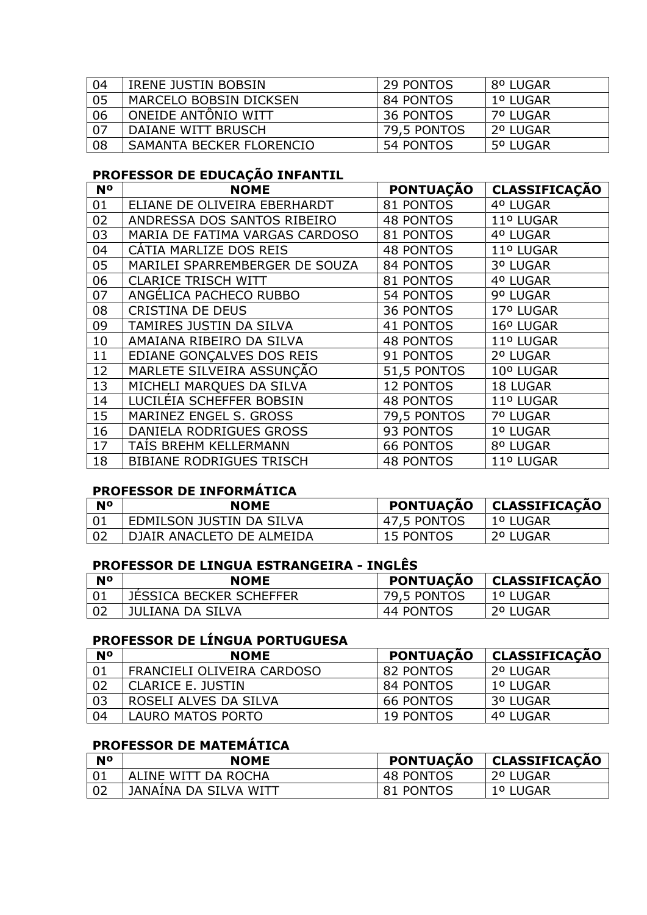| 04 | <b>IRENE JUSTIN BOBSIN</b> | 29 PONTOS   | 8º LUGAR |
|----|----------------------------|-------------|----------|
| 05 | MARCELO BOBSIN DICKSEN     | 84 PONTOS   | 1º LUGAR |
| 06 | ONEIDE ANTONIO WITT        | 36 PONTOS   | 7º LUGAR |
| 07 | DAIANE WITT BRUSCH         | 79,5 PONTOS | 2º LUGAR |
| 08 | SAMANTA BECKER FLORENCIO   | 54 PONTOS   | 5º LUGAR |

# **PROFESSOR DE EDUCAÇÃO INFANTIL**

| <b>N<sup>o</sup></b> | <b>NOME</b>                     | <b>PONTUAÇÃO</b> | <b>CLASSIFICAÇÃO</b> |
|----------------------|---------------------------------|------------------|----------------------|
| 01                   | ELIANE DE OLIVEIRA EBERHARDT    | 81 PONTOS        | 4º LUGAR             |
| 02                   | ANDRESSA DOS SANTOS RIBEIRO     | <b>48 PONTOS</b> | 11º LUGAR            |
| 03                   | MARIA DE FATIMA VARGAS CARDOSO  | 81 PONTOS        | 4º LUGAR             |
| 04                   | CATIA MARLIZE DOS REIS          | <b>48 PONTOS</b> | 11º LUGAR            |
| 05                   | MARILEI SPARREMBERGER DE SOUZA  | 84 PONTOS        | 3º LUGAR             |
| 06                   | <b>CLARICE TRISCH WITT</b>      | 81 PONTOS        | 4º LUGAR             |
| 07                   | ANGÉLICA PACHECO RUBBO          | 54 PONTOS        | 9º LUGAR             |
| 08                   | <b>CRISTINA DE DEUS</b>         | 36 PONTOS        | 17º LUGAR            |
| 09                   | TAMIRES JUSTIN DA SILVA         | 41 PONTOS        | 16º LUGAR            |
| 10                   | AMAIANA RIBEIRO DA SILVA        | <b>48 PONTOS</b> | 11º LUGAR            |
| 11                   | EDIANE GONCALVES DOS REIS       | 91 PONTOS        | 2º LUGAR             |
| 12                   | MARLETE SILVEIRA ASSUNÇÃO       | 51,5 PONTOS      | 10º LUGAR            |
| 13                   | MICHELI MARQUES DA SILVA        | 12 PONTOS        | 18 LUGAR             |
| 14                   | LUCILÉIA SCHEFFER BOBSIN        | <b>48 PONTOS</b> | 11º LUGAR            |
| 15                   | MARINEZ ENGEL S. GROSS          | 79,5 PONTOS      | 7º LUGAR             |
| 16                   | DANIELA RODRIGUES GROSS         | 93 PONTOS        | 1º LUGAR             |
| 17                   | TAIS BREHM KELLERMANN           | <b>66 PONTOS</b> | 8º LUGAR             |
| 18                   | <b>BIBIANE RODRIGUES TRISCH</b> | <b>48 PONTOS</b> | 11º LUGAR            |

# **PROFESSOR DE INFORMÁTICA**

| <b>No</b> | NOME                      | <b>PONTUAÇÃO</b> | CLASSIFICAÇÃO |
|-----------|---------------------------|------------------|---------------|
|           | EDMILSON JUSTIN DA SILVA  | 47,5 PONTOS      | ∣ 1º LUGAR    |
|           | DJAIR ANACLETO DE ALMEIDA | 15 PONTOS        | 2º LUGAR      |

## **PROFESSOR DE LINGUA ESTRANGEIRA - INGLÊS**

| <b>No</b> | <b>NOME</b>                    | <b>PONTUAÇÃO</b> | CLASSIFICAÇÃO |
|-----------|--------------------------------|------------------|---------------|
|           | <b>JESSICA BECKER SCHEFFER</b> | 79,5 PONTOS      | 1º LUGAR      |
|           | JULIANA DA SILVA               | 44 PONTOS        | 2º LUGAR      |

# **PROFESSOR DE LÍNGUA PORTUGUESA**

| <b>No</b> | <b>NOME</b>                | <b>PONTUAÇÃO</b> | <b>CLASSIFICAÇÃO</b> |
|-----------|----------------------------|------------------|----------------------|
| 01        | FRANCIELI OLIVEIRA CARDOSO | 82 PONTOS        | 2º LUGAR             |
| 02        | <b>CLARICE E. JUSTIN</b>   | 84 PONTOS        | 1º LUGAR             |
| 03        | ROSELI ALVES DA SILVA      | 66 PONTOS        | 3º LUGAR             |
| 04        | LAURO MATOS PORTO          | 19 PONTOS        | 4º LUGAR             |

# **PROFESSOR DE MATEMÁTICA**

| N <sup>o</sup> | <b>NOME</b>           | <b>PONTUAÇÃO</b> | CLASSIFICAÇÃO |
|----------------|-----------------------|------------------|---------------|
|                | ALINE WITT DA ROCHA   | 48 PONTOS        | 2º LUGAR      |
|                | JANAINA DA SILVA WITT | 81 PONTOS        | 1º LUGAR      |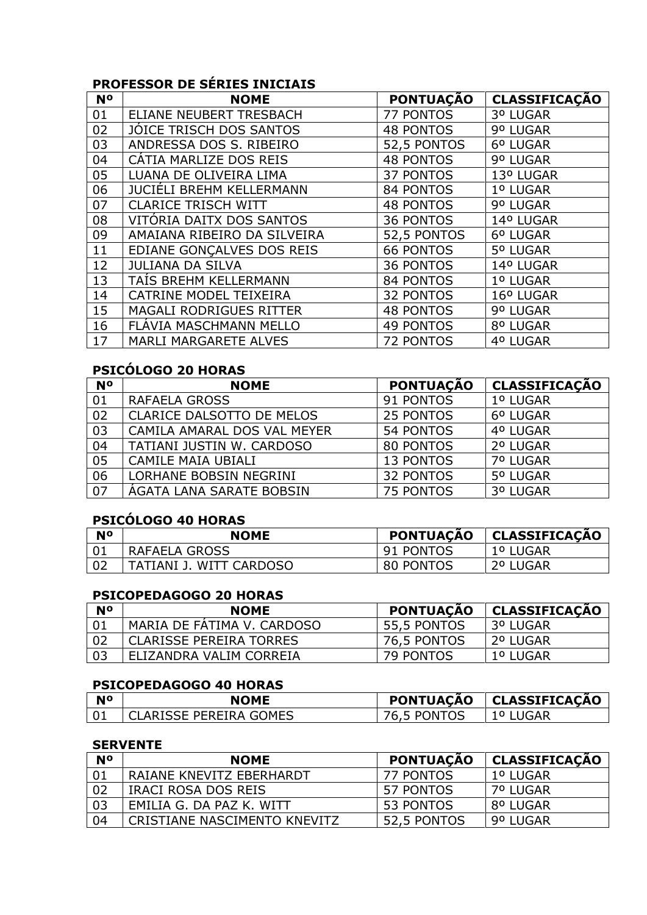# **PROFESSOR DE SÉRIES INICIAIS**

| N <sup>o</sup> | <b>NOME</b>                     | <b>PONTUAÇÃO</b> | <b>CLASSIFICAÇÃO</b> |
|----------------|---------------------------------|------------------|----------------------|
| 01             | ELIANE NEUBERT TRESBACH         | 77 PONTOS        | 3º LUGAR             |
| 02             | JOICE TRISCH DOS SANTOS         | <b>48 PONTOS</b> | 9º LUGAR             |
| 03             | ANDRESSA DOS S. RIBEIRO         | 52,5 PONTOS      | 6º LUGAR             |
| 04             | CATIA MARLIZE DOS REIS          | <b>48 PONTOS</b> | 9º LUGAR             |
| 05             | LUANA DE OLIVEIRA LIMA          | 37 PONTOS        | 13º LUGAR            |
| 06             | <b>JUCIÉLI BREHM KELLERMANN</b> | 84 PONTOS        | 1º LUGAR             |
| 07             | <b>CLARICE TRISCH WITT</b>      | <b>48 PONTOS</b> | 9º LUGAR             |
| 08             | VITÓRIA DAITX DOS SANTOS        | <b>36 PONTOS</b> | 14º LUGAR            |
| 09             | AMAIANA RIBEIRO DA SILVEIRA     | 52,5 PONTOS      | 6º LUGAR             |
| 11             | EDIANE GONCALVES DOS REIS       | <b>66 PONTOS</b> | 5º LUGAR             |
| 12             | <b>JULIANA DA SILVA</b>         | <b>36 PONTOS</b> | 14º LUGAR            |
| 13             | TAIS BREHM KELLERMANN           | 84 PONTOS        | 1º LUGAR             |
| 14             | CATRINE MODEL TEIXEIRA          | <b>32 PONTOS</b> | 16º LUGAR            |
| 15             | <b>MAGALI RODRIGUES RITTER</b>  | <b>48 PONTOS</b> | 9º LUGAR             |
| 16             | FLAVIA MASCHMANN MELLO          | <b>49 PONTOS</b> | 8º LUGAR             |
| 17             | <b>MARLI MARGARETE ALVES</b>    | <b>72 PONTOS</b> | 4º LUGAR             |

# **PSICÓLOGO 20 HORAS**

| <b>N°</b> | <b>NOME</b>                      | <b>PONTUAÇÃO</b> | <b>CLASSIFICAÇÃO</b> |
|-----------|----------------------------------|------------------|----------------------|
| 01        | RAFAELA GROSS                    | 91 PONTOS        | 1º LUGAR             |
| 02        | <b>CLARICE DALSOTTO DE MELOS</b> | 25 PONTOS        | 6º LUGAR             |
| 03        | CAMILA AMARAL DOS VAL MEYER      | 54 PONTOS        | 4º LUGAR             |
| 04        | TATIANI JUSTIN W. CARDOSO        | 80 PONTOS        | 2º LUGAR             |
| 05        | CAMILE MAIA UBIALI               | 13 PONTOS        | 7º LUGAR             |
| 06        | <b>LORHANE BOBSIN NEGRINI</b>    | <b>32 PONTOS</b> | 5º LUGAR             |
| 07        | AGATA LANA SARATE BOBSIN         | 75 PONTOS        | 3º LUGAR             |

# **PSICÓLOGO 40 HORAS**

| <b>No</b> | NOME                    | <b>PONTUAÇÃO</b> | CLASSIFICAÇÃO |
|-----------|-------------------------|------------------|---------------|
|           | RAFAELA GROSS           | 91 PONTOS        | 1º LUGAR      |
|           | TATIANI J. WITT CARDOSO | 80 PONTOS        | 2º LUGAR      |

#### **PSICOPEDAGOGO 20 HORAS**

| N٥ | <b>NOME</b>                    | <b>PONTUAÇÃO</b> | <b>CLASSIFICAÇÃO</b> |
|----|--------------------------------|------------------|----------------------|
|    | MARIA DE FATIMA V. CARDOSO     | 55,5 PONTOS      | 3º LUGAR             |
| റാ | <b>CLARISSE PEREIRA TORRES</b> | 76,5 PONTOS      | 2º LUGAR             |
| 03 | ELIZANDRA VALIM CORREIA        | 79 PONTOS        | 1º LUGAR             |

## **PSICOPEDAGOGO 40 HORAS**

| <b>N°</b> | <b>NOME</b>              | <b>PONTUACAO</b> | CLASSIFICACÃO |
|-----------|--------------------------|------------------|---------------|
|           | ' CLARISSE PEREIRA GOMES | 76,5 PONTOS      | 1º LUGAR      |

### **SERVENTE**

| <b>N°</b> | <b>NOME</b>                  | <b>PONTUAÇÃO</b> | <b>CLASSIFICAÇÃO</b> |
|-----------|------------------------------|------------------|----------------------|
| 01        | RAIANE KNEVITZ EBERHARDT     | 77 PONTOS        | 1º LUGAR             |
| 02        | IRACI ROSA DOS REIS          | 57 PONTOS        | 7º LUGAR             |
| . 03      | EMILIA G. DA PAZ K. WITT     | 53 PONTOS        | 8º LUGAR             |
| 04        | CRISTIANE NASCIMENTO KNEVITZ | 52,5 PONTOS      | 9º LUGAR             |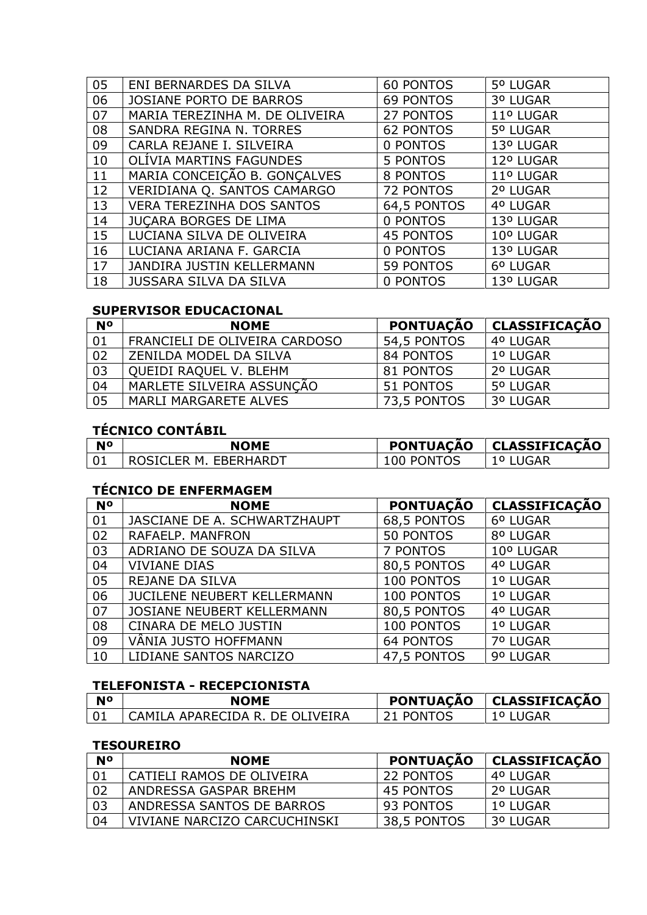| 05 | ENI BERNARDES DA SILVA           | <b>60 PONTOS</b> | 5º LUGAR  |
|----|----------------------------------|------------------|-----------|
| 06 | <b>JOSIANE PORTO DE BARROS</b>   | 69 PONTOS        | 3º LUGAR  |
| 07 | MARIA TEREZINHA M. DE OLIVEIRA   | 27 PONTOS        | 11º LUGAR |
| 08 | SANDRA REGINA N. TORRES          | <b>62 PONTOS</b> | 5º LUGAR  |
| 09 | CARLA REJANE I. SILVEIRA         | 0 PONTOS         | 13º LUGAR |
| 10 | OLÍVIA MARTINS FAGUNDES          | 5 PONTOS         | 12º LUGAR |
| 11 | MARIA CONCEIÇÃO B. GONÇALVES     | 8 PONTOS         | 11º LUGAR |
| 12 | VERIDIANA Q. SANTOS CAMARGO      | <b>72 PONTOS</b> | 2º LUGAR  |
| 13 | <b>VERA TEREZINHA DOS SANTOS</b> | 64,5 PONTOS      | 4º LUGAR  |
| 14 | JUÇARA BORGES DE LIMA            | 0 PONTOS         | 13º LUGAR |
| 15 | LUCIANA SILVA DE OLIVEIRA        | <b>45 PONTOS</b> | 10° LUGAR |
| 16 | LUCIANA ARIANA F. GARCIA         | 0 PONTOS         | 13º LUGAR |
| 17 | JANDIRA JUSTIN KELLERMANN        | 59 PONTOS        | 6º LUGAR  |
| 18 | <b>JUSSARA SILVA DA SILVA</b>    | 0 PONTOS         | 13º LUGAR |

### **SUPERVISOR EDUCACIONAL**

| <b>No</b> | <b>NOME</b>                   | <b>PONTUAÇÃO</b> | <b>CLASSIFICAÇÃO</b> |
|-----------|-------------------------------|------------------|----------------------|
| 01        | FRANCIELI DE OLIVEIRA CARDOSO | 54,5 PONTOS      | 4º LUGAR             |
| 02        | ZENILDA MODEL DA SILVA        | 84 PONTOS        | 1º LUGAR             |
| 03        | QUEIDI RAQUEL V. BLEHM        | 81 PONTOS        | 2º LUGAR             |
| 04        | MARLETE SILVEIRA ASSUNÇÃO     | 51 PONTOS        | 5º LUGAR             |
| 05        | <b>MARLI MARGARETE ALVES</b>  | 73,5 PONTOS      | 3º LUGAR             |

# **TÉCNICO CONTÁBIL**

| <b>No</b> | <b>NOME</b>           |            | PONTUAÇÃO   CLASSIFICAÇÃO |
|-----------|-----------------------|------------|---------------------------|
|           | ROSICLER M. EBERHARDT | 100 PONTOS | 1º LUGAR                  |

# **TÉCNICO DE ENFERMAGEM**

| <b>N°</b> | <b>NOME</b>                        | <b>PONTUAÇÃO</b> | <b>CLASSIFICAÇÃO</b> |
|-----------|------------------------------------|------------------|----------------------|
| 01        | JASCIANE DE A. SCHWARTZHAUPT       | 68,5 PONTOS      | 6º LUGAR             |
| 02        | RAFAELP, MANFRON                   | 50 PONTOS        | 8º LUGAR             |
| 03        | ADRIANO DE SOUZA DA SILVA          | 7 PONTOS         | 10° LUGAR            |
| 04        | <b>VIVIANE DIAS</b>                | 80,5 PONTOS      | 4º LUGAR             |
| 05        | <b>REJANE DA SILVA</b>             | 100 PONTOS       | 1º LUGAR             |
| 06        | <b>JUCILENE NEUBERT KELLERMANN</b> | 100 PONTOS       | 1º LUGAR             |
| 07        | <b>JOSIANE NEUBERT KELLERMANN</b>  | 80,5 PONTOS      | 4º LUGAR             |
| 08        | CINARA DE MELO JUSTIN              | 100 PONTOS       | 1º LUGAR             |
| 09        | VÂNIA JUSTO HOFFMANN               | <b>64 PONTOS</b> | 7º LUGAR             |
| 10        | LIDIANE SANTOS NARCIZO             | 47,5 PONTOS      | 9º LUGAR             |

## **TELEFONISTA - RECEPCIONISTA**

| <b>No</b> | <b>NOME</b>                       | <b>PONTUACÃO</b> | <b>CLASSIFICAÇÃO</b> |
|-----------|-----------------------------------|------------------|----------------------|
|           | ' CAMILA APARECIDA R. DE OLIVEIRA | 21 PONTOS        | 1º I UGAR            |

## **TESOUREIRO**

| <b>N°</b> | <b>NOME</b>                  | <b>PONTUAÇÃO</b> | CLASSIFICAÇÃO |
|-----------|------------------------------|------------------|---------------|
|           | CATIELI RAMOS DE OLIVEIRA    | 22 PONTOS        | 4º LUGAR      |
| 02        | ANDRESSA GASPAR BREHM        | 45 PONTOS        | 2º LUGAR      |
| 03        | ANDRESSA SANTOS DE BARROS    | 93 PONTOS        | 1º LUGAR      |
| 04        | VIVIANE NARCIZO CARCUCHINSKI | 38,5 PONTOS      | 3º LUGAR      |